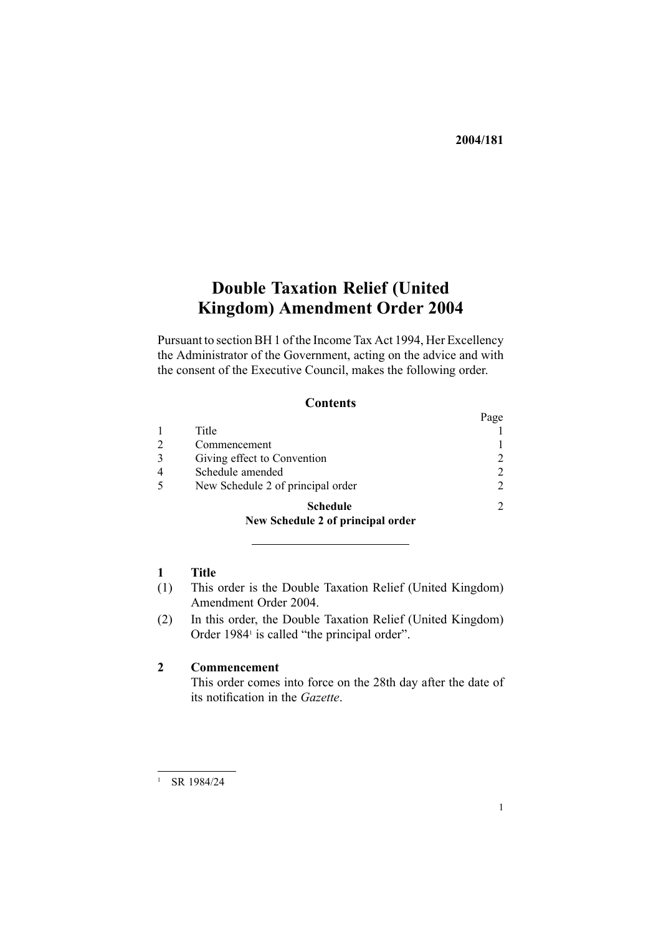# **Double Taxation Relief (United Kingdom) Amendment Order 2004**

Pursuant to section BH 1 of the Income Tax Act 1994, Her Excellency the Administrator of the Government, acting on the advice and with the consent of the Executive Council, makes the following order.

### **Contents**

|                                                                                                                                                                                                                                                                                                                                                                                                                                                                                                            | Page                        |
|------------------------------------------------------------------------------------------------------------------------------------------------------------------------------------------------------------------------------------------------------------------------------------------------------------------------------------------------------------------------------------------------------------------------------------------------------------------------------------------------------------|-----------------------------|
| Title                                                                                                                                                                                                                                                                                                                                                                                                                                                                                                      |                             |
| Commencement                                                                                                                                                                                                                                                                                                                                                                                                                                                                                               |                             |
| Giving effect to Convention                                                                                                                                                                                                                                                                                                                                                                                                                                                                                | $\mathfrak{D}$              |
| Schedule amended                                                                                                                                                                                                                                                                                                                                                                                                                                                                                           | $\mathcal{D}_{\mathcal{A}}$ |
| New Schedule 2 of principal order                                                                                                                                                                                                                                                                                                                                                                                                                                                                          | $\mathfrak{D}$              |
| <b>Schedule</b><br>$\sim$ $\blacksquare$ $\blacksquare$ $\blacksquare$ $\blacksquare$ $\blacksquare$ $\blacksquare$ $\blacksquare$ $\blacksquare$ $\blacksquare$ $\blacksquare$ $\blacksquare$ $\blacksquare$ $\blacksquare$ $\blacksquare$ $\blacksquare$ $\blacksquare$ $\blacksquare$ $\blacksquare$ $\blacksquare$ $\blacksquare$ $\blacksquare$ $\blacksquare$ $\blacksquare$ $\blacksquare$ $\blacksquare$ $\blacksquare$ $\blacksquare$ $\blacksquare$ $\blacksquare$ $\blacksquare$ $\blacksquare$ | $\mathcal{D}$               |

## **[New](#page-1-0) [Schedule](#page-1-0) [2](http://www.legislation.govt.nz/pdfLink.aspx?id=DLM95165) of pr[incipal](#page-1-0) order**

## **1 Title**

- (1) This order is the Double Taxation Relief (United Kingdom) Amendment Order 2004.
- (2) In this order, the Double Taxation Relief (United [Kingdom\)](http://www.legislation.govt.nz/pdfLink.aspx?id=DLM94688) [Order](http://www.legislation.govt.nz/pdfLink.aspx?id=DLM94688) 1984<sup>1</sup> is called "the principal order".

## **2 Commencement**

This order comes into force on the 28th day after the date of its notification in the *Gazette*.

<sup>1</sup> SR 1984/24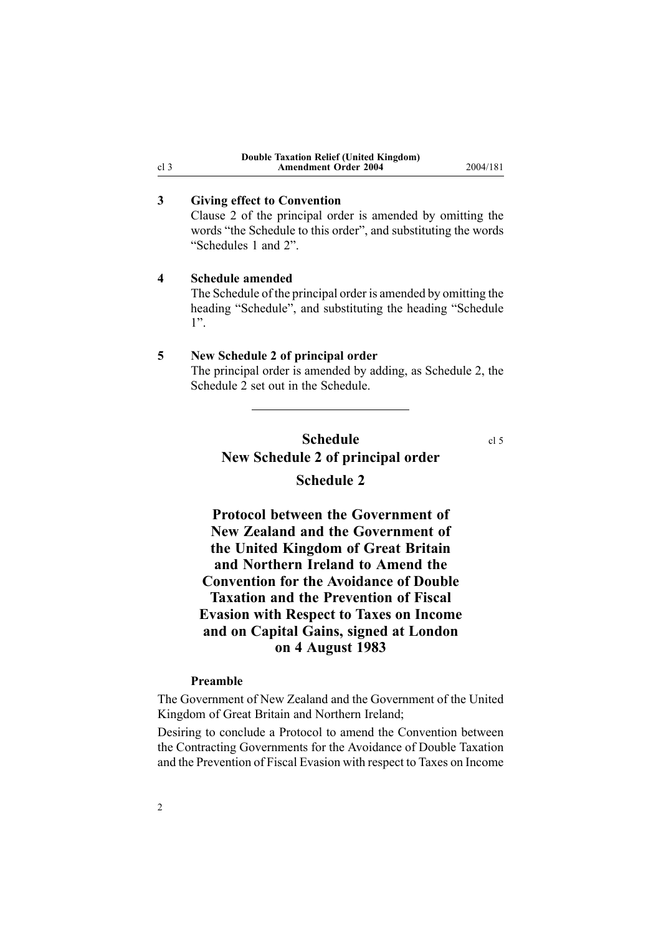|                             |  | <b>Double Taxation Relief (United Kingdom)</b> |
|-----------------------------|--|------------------------------------------------|
| <b>Amendment Order 2004</b> |  |                                                |

## **3 Giving effect to Convention**

Clause [2](http://www.legislation.govt.nz/pdfLink.aspx?id=DLM94693) of the principal order is amended by omitting the words "the Schedule to this order", and substituting the words "Schedules 1 and 2".

**Amendment Order 2004** 2004/181

#### **4 Schedule amended**

The Schedule of the principal order is amended by omitting the heading "Schedule", and substituting the heading "Schedule 1".

#### **5 New Schedule [2](http://www.legislation.govt.nz/pdfLink.aspx?id=DLM95165) of principal order**

The principal order is amended by adding, as Schedule 2, the Schedule 2 set out in the Schedule.

## **Schedule** cl 5 **New Schedule [2](http://www.legislation.govt.nz/pdfLink.aspx?id=DLM95165) of principal order Schedule 2**

**Protocol between the Government of New Zealand and the Government of the United Kingdom of Great Britain and Northern Ireland to Amend the Convention for the Avoidance of Double Taxation and the Prevention of Fiscal Evasion with Respect to Taxes on Income and on Capital Gains, signed at London on 4 August 1983**

#### **Preamble**

2

The Government of New Zealand and the Government of the United Kingdom of Great Britain and Northern Ireland;

Desiring to conclude <sup>a</sup> Protocol to amend the Convention between the Contracting Governments for the Avoidance of Double Taxation and the Prevention of Fiscal Evasion with respec<sup>t</sup> to Taxes on Income

#### <span id="page-1-0"></span>cl 3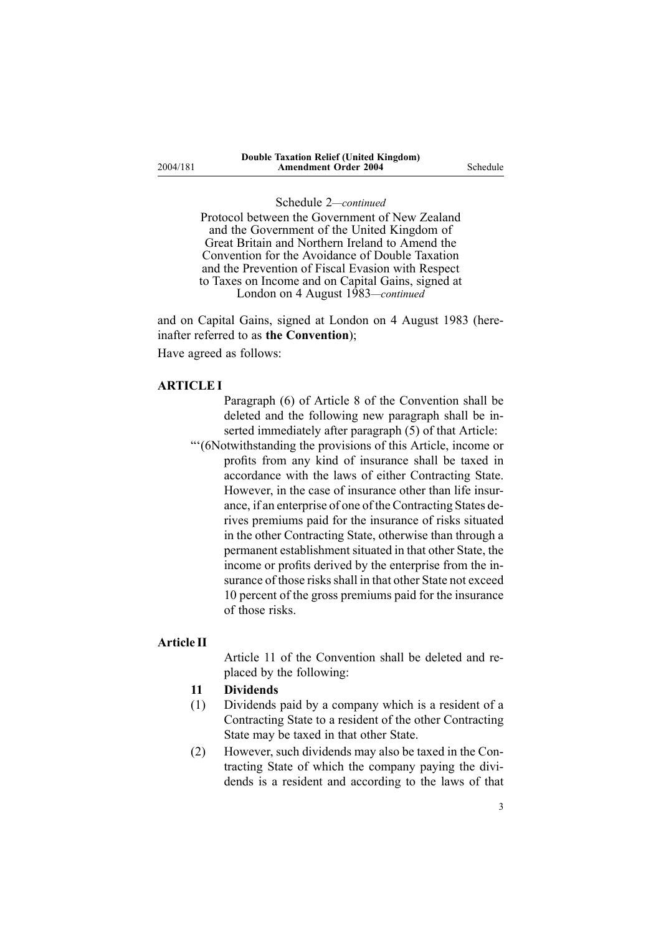Protocol between the Government of New Zealand and the Government of the United Kingdom of Great Britain and Northern Ireland to Amend the Convention for the Avoidance of Double Taxation and the Prevention of Fiscal Evasion with Respect to Taxes on Income and on Capital Gains, signed at London on 4 August 1983*—continued*

and on Capital Gains, signed at London on 4 August 1983 (hereinafter referred to as **the Convention**); Have agreed as follows:

#### **ARTICLEI**

- Paragraph (6) of Article 8 of the Convention shall be deleted and the following new paragraph shall be inserted immediately after paragraph (5) of that Article:
- "'(6Notwithstanding the provisions of this Article, income or profits from any kind of insurance shall be taxed in accordance with the laws of either Contracting State. However, in the case of insurance other than life insurance, if an enterprise of one of the Contracting States derives premiums paid for the insurance of risks situated in the other Contracting State, otherwise than through <sup>a</sup> permanent establishment situated in that other State, the income or profits derived by the enterprise from the insurance of those risks shall in that other State not exceed 10 percen<sup>t</sup> of the gross premiums paid for the insurance of those risks.

#### **Article II**

Article 11 of the Convention shall be deleted and replaced by the following:

#### **11 Dividends**

- (1) Dividends paid by <sup>a</sup> company which is <sup>a</sup> resident of <sup>a</sup> Contracting State to <sup>a</sup> resident of the other Contracting State may be taxed in that other State.
- (2) However, such dividends may also be taxed in the Contracting State of which the company paying the dividends is <sup>a</sup> resident and according to the laws of that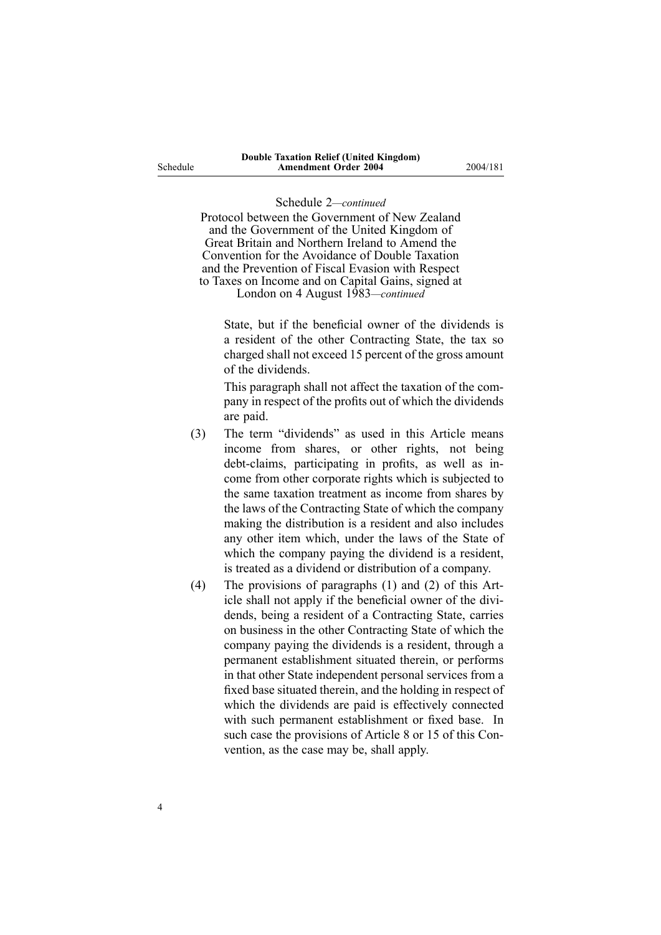Protocol between the Government of New Zealand and the Government of the United Kingdom of Great Britain and Northern Ireland to Amend the Convention for the Avoidance of Double Taxation and the Prevention of Fiscal Evasion with Respect to Taxes on Income and on Capital Gains, signed at

London on 4 August 1983*—continued*

State, but if the beneficial owner of the dividends is <sup>a</sup> resident of the other Contracting State, the tax so charged shall not exceed 15 percen<sup>t</sup> of the gross amount of the dividends.

This paragraph shall not affect the taxation of the company in respec<sup>t</sup> of the profits out of which the dividends are paid.

- (3) The term "dividends" as used in this Article means income from shares, or other rights, not being debt-claims, participating in profits, as well as income from other corporate rights which is subjected to the same taxation treatment as income from shares by the laws of the Contracting State of which the company making the distribution is <sup>a</sup> resident and also includes any other item which, under the laws of the State of which the company paying the dividend is <sup>a</sup> resident, is treated as <sup>a</sup> dividend or distribution of <sup>a</sup> company.
- (4) The provisions of paragraphs (1) and (2) of this Article shall not apply if the beneficial owner of the dividends, being <sup>a</sup> resident of <sup>a</sup> Contracting State, carries on business in the other Contracting State of which the company paying the dividends is <sup>a</sup> resident, through <sup>a</sup> permanen<sup>t</sup> establishment situated therein, or performs in that other State independent personal services from <sup>a</sup> fixed base situated therein, and the holding in respec<sup>t</sup> of which the dividends are paid is effectively connected with such permanen<sup>t</sup> establishment or fixed base. In such case the provisions of Article 8 or 15 of this Convention, as the case may be, shall apply.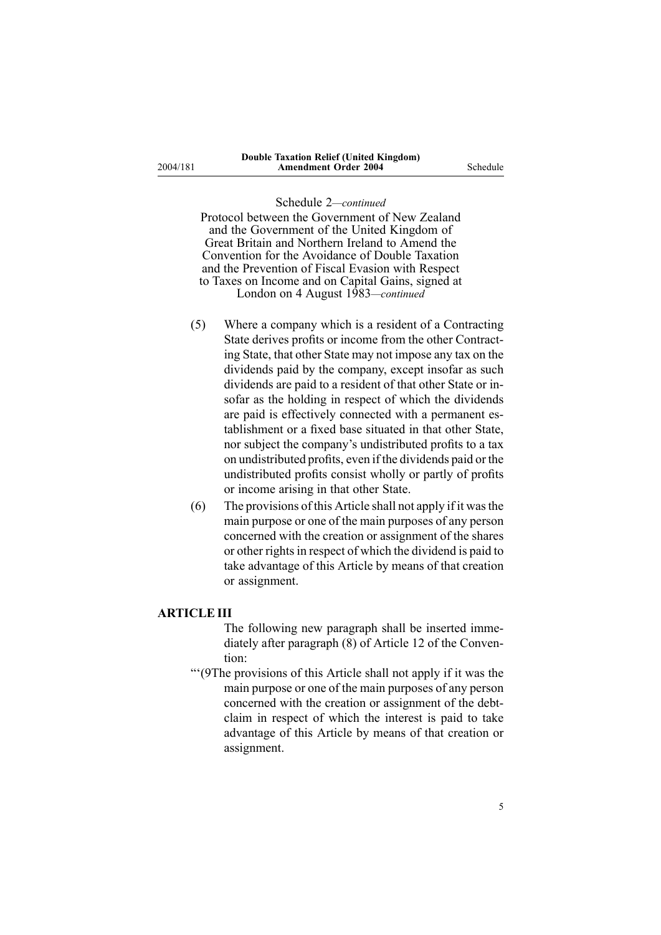2004/181

#### Schedule 2*—continued*

Protocol between the Government of New Zealand and the Government of the United Kingdom of Great Britain and Northern Ireland to Amend the Convention for the Avoidance of Double Taxation and the Prevention of Fiscal Evasion with Respect to Taxes on Income and on Capital Gains, signed at London on 4 August 1983*—continued*

- (5) Where <sup>a</sup> company which is <sup>a</sup> resident of <sup>a</sup> Contracting State derives profits or income from the other Contracting State, that other State may not impose any tax on the dividends paid by the company, excep<sup>t</sup> insofar as such dividends are paid to <sup>a</sup> resident of that other State or insofar as the holding in respec<sup>t</sup> of which the dividends are paid is effectively connected with <sup>a</sup> permanen<sup>t</sup> establishment or <sup>a</sup> fixed base situated in that other State, nor subject the company's undistributed profits to <sup>a</sup> tax on undistributed profits, even if the dividends paid or the undistributed profits consist wholly or partly of profits or income arising in that other State.
- (6) The provisions of this Article shall not apply if it wasthe main purpose or one of the main purposes of any person concerned with the creation or assignment of the shares or other rights in respect of which the dividend is paid to take advantage of this Article by means of that creation or assignment.

#### **ARTICLEIII**

- The following new paragraph shall be inserted immediately after paragraph (8) of Article 12 of the Convention:
- "'(9The provisions of this Article shall not apply if it was the main purpose or one of the main purposes of any person concerned with the creation or assignment of the debtclaim in respec<sup>t</sup> of which the interest is paid to take advantage of this Article by means of that creation or assignment.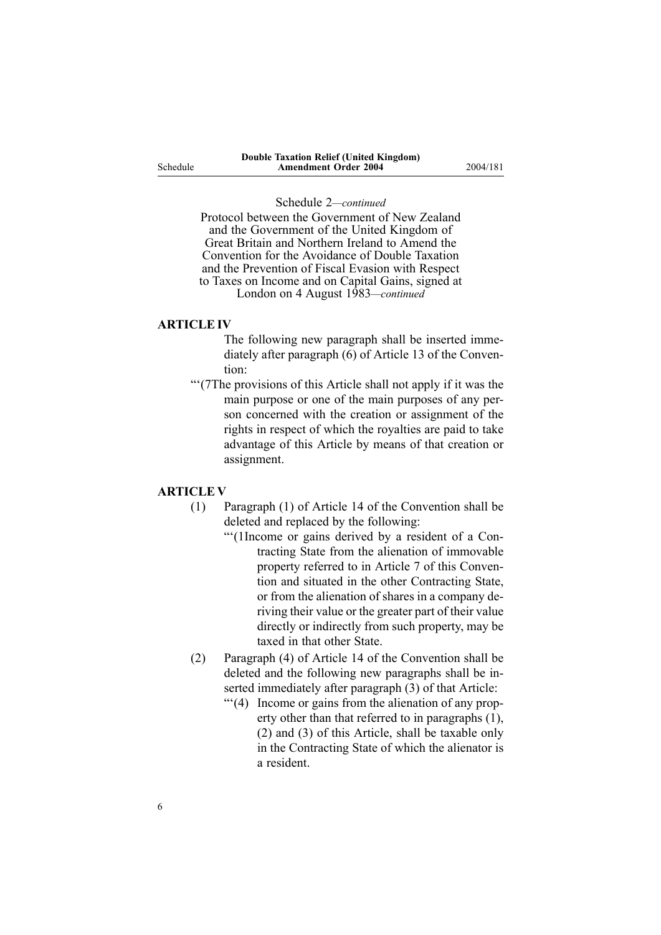Protocol between the Government of New Zealand and the Government of the United Kingdom of Great Britain and Northern Ireland to Amend the Convention for the Avoidance of Double Taxation and the Prevention of Fiscal Evasion with Respect to Taxes on Income and on Capital Gains, signed at London on 4 August 1983*—continued*

#### **ARTICLEIV**

The following new paragraph shall be inserted immediately after paragraph (6) of Article 13 of the Convention:

"'(7The provisions of this Article shall not apply if it was the main purpose or one of the main purposes of any person concerned with the creation or assignment of the rights in respec<sup>t</sup> of which the royalties are paid to take advantage of this Article by means of that creation or assignment.

### **ARTICLE V**

- (1) Paragraph (1) of Article 14 of the Convention shall be deleted and replaced by the following:
	- "'(1Income or gains derived by <sup>a</sup> resident of <sup>a</sup> Contracting State from the alienation of immovable property referred to in Article 7 of this Convention and situated in the other Contracting State, or from the alienation of shares in <sup>a</sup> company deriving their value or the greater par<sup>t</sup> of their value directly or indirectly from such property, may be taxed in that other State.
- (2) Paragraph (4) of Article 14 of the Convention shall be deleted and the following new paragraphs shall be inserted immediately after paragraph (3) of that Article:
	- "'(4) Income or gains from the alienation of any property other than that referred to in paragraphs (1), (2) and (3) of this Article, shall be taxable only in the Contracting State of which the alienator is <sup>a</sup> resident.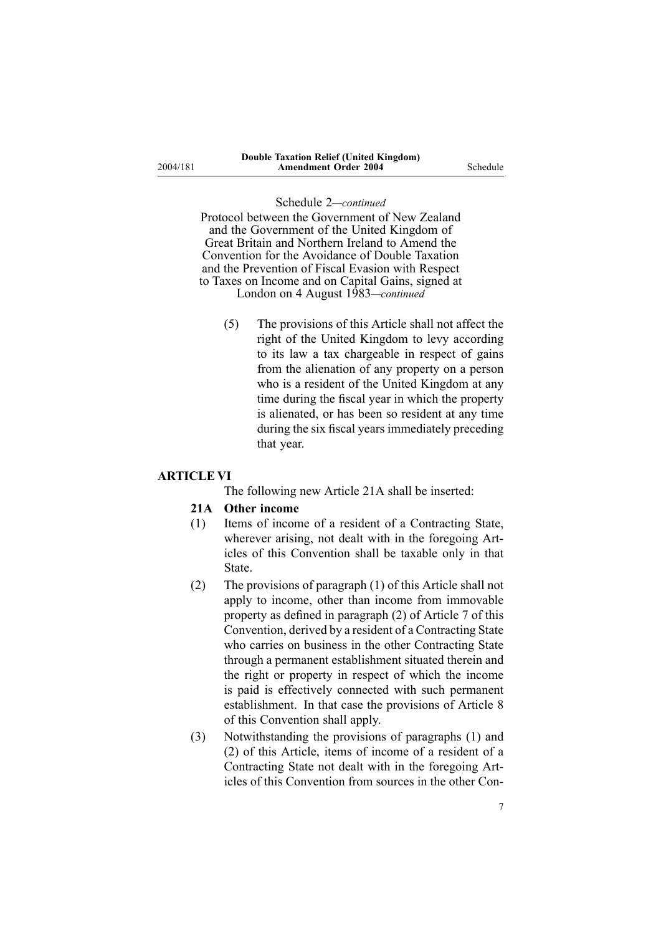Protocol between the Government of New Zealand and the Government of the United Kingdom of Great Britain and Northern Ireland to Amend the Convention for the Avoidance of Double Taxation and the Prevention of Fiscal Evasion with Respect to Taxes on Income and on Capital Gains, signed at London on 4 August 1983*—continued*

(5) The provisions of this Article shall not affect the right of the United Kingdom to levy according to its law <sup>a</sup> tax chargeable in respec<sup>t</sup> of gains from the alienation of any property on <sup>a</sup> person who is <sup>a</sup> resident of the United Kingdom at any time during the fiscal year in which the property is alienated, or has been so resident at any time during the six fiscal years immediately preceding that year.

#### **ARTICLE VI**

The following new Article 21A shall be inserted:

#### **21A Other income**

- (1) Items of income of <sup>a</sup> resident of <sup>a</sup> Contracting State, wherever arising, not dealt with in the foregoing Articles of this Convention shall be taxable only in that **State**
- (2) The provisions of paragraph (1) of this Article shall not apply to income, other than income from immovable property as defined in paragraph (2) of Article 7 of this Convention, derived by <sup>a</sup> resident of <sup>a</sup> Contracting State who carries on business in the other Contracting State through <sup>a</sup> permanen<sup>t</sup> establishment situated therein and the right or property in respec<sup>t</sup> of which the income is paid is effectively connected with such permanen<sup>t</sup> establishment. In that case the provisions of Article 8 of this Convention shall apply.
- (3) Notwithstanding the provisions of paragraphs (1) and (2) of this Article, items of income of <sup>a</sup> resident of <sup>a</sup> Contracting State not dealt with in the foregoing Articles of this Convention from sources in the other Con-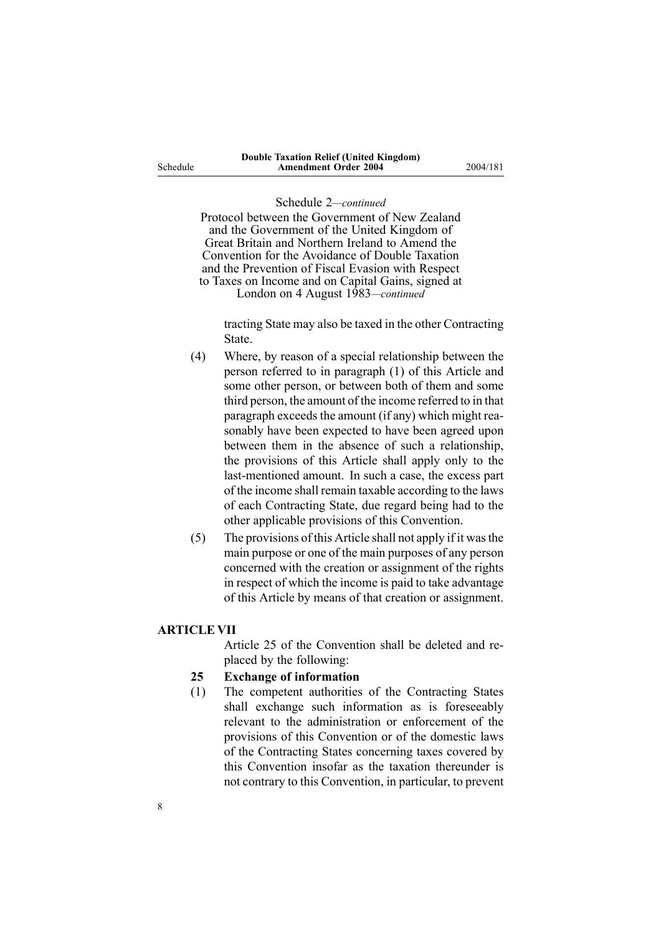Protocol between the Government of New Zealand and the Government of the United Kingdom of Great Britain and Northern Ireland to Amend the Convention for the Avoidance of Double Taxation and the Prevention of Fiscal Evasion with Respect to Taxes on Income and on Capital Gains, signed at London on 4 August 1983*—continued*

tracting State may also be taxed in the other Contracting State.

- (4) Where, by reason of <sup>a</sup> special relationship between the person referred to in paragraph (1) of this Article and some other person, or between both of them and some third person, the amount of the income referred to in that paragraph exceeds the amount (if any) which might reasonably have been expected to have been agreed upon between them in the absence of such <sup>a</sup> relationship, the provisions of this Article shall apply only to the last-mentioned amount. In such a case, the excess part of the income shall remain taxable according to the laws of each Contracting State, due regard being had to the other applicable provisions of this Convention.
- (5) The provisions of this Article shall not apply if it wasthe main purpose or one of the main purposes of any person concerned with the creation or assignment of the rights in respec<sup>t</sup> of which the income is paid to take advantage of this Article by means of that creation or assignment.

#### **ARTICLE VII**

Article 25 of the Convention shall be deleted and replaced by the following:

#### **25 Exchange of information**

(1) The competent authorities of the Contracting States shall exchange such information as is foreseeably relevant to the administration or enforcement of the provisions of this Convention or of the domestic laws of the Contracting States concerning taxes covered by this Convention insofar as the taxation thereunder is not contrary to this Convention, in particular, to preven<sup>t</sup>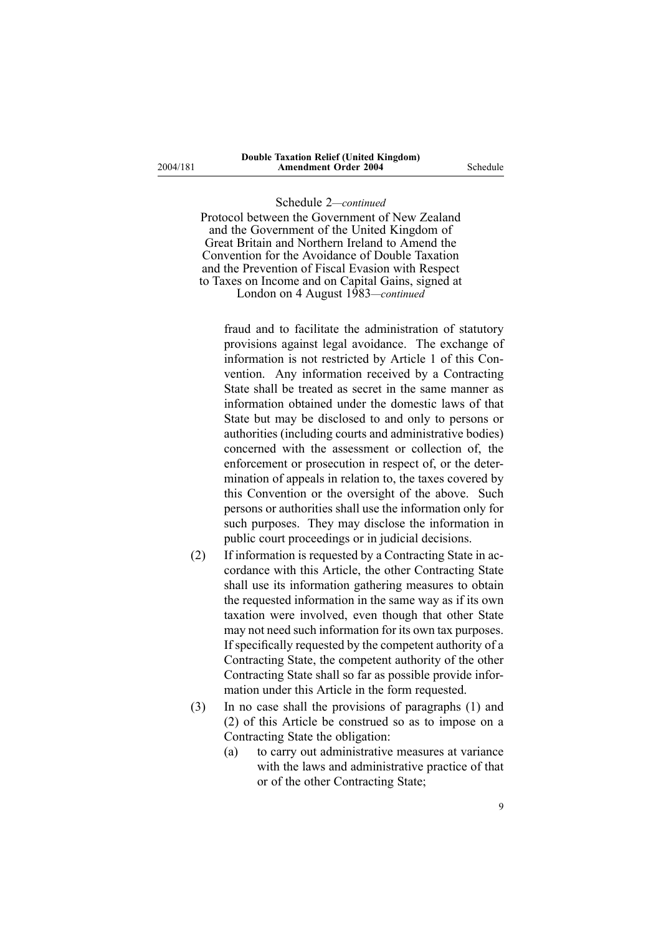2004/181

#### Schedule 2*—continued*

Protocol between the Government of New Zealand and the Government of the United Kingdom of Great Britain and Northern Ireland to Amend the Convention for the Avoidance of Double Taxation and the Prevention of Fiscal Evasion with Respect to Taxes on Income and on Capital Gains, signed at London on 4 August 1983*—continued*

fraud and to facilitate the administration of statutory provisions against legal avoidance. The exchange of information is not restricted by Article 1 of this Convention. Any information received by <sup>a</sup> Contracting State shall be treated as secret in the same manner as information obtained under the domestic laws of that State but may be disclosed to and only to persons or authorities (including courts and administrative bodies) concerned with the assessment or collection of, the enforcement or prosecution in respec<sup>t</sup> of, or the determination of appeals in relation to, the taxes covered by this Convention or the oversight of the above. Such persons or authorities shall use the information only for such purposes. They may disclose the information in public court proceedings or in judicial decisions.

- (2) If information is requested by <sup>a</sup> Contracting State in accordance with this Article, the other Contracting State shall use its information gathering measures to obtain the requested information in the same way as if its own taxation were involved, even though that other State may not need such information for its own tax purposes. If specifically requested by the competent authority of <sup>a</sup> Contracting State, the competent authority of the other Contracting State shall so far as possible provide information under this Article in the form requested.
- (3) In no case shall the provisions of paragraphs (1) and (2) of this Article be construed so as to impose on <sup>a</sup> Contracting State the obligation:
	- (a) to carry out administrative measures at variance with the laws and administrative practice of that or of the other Contracting State;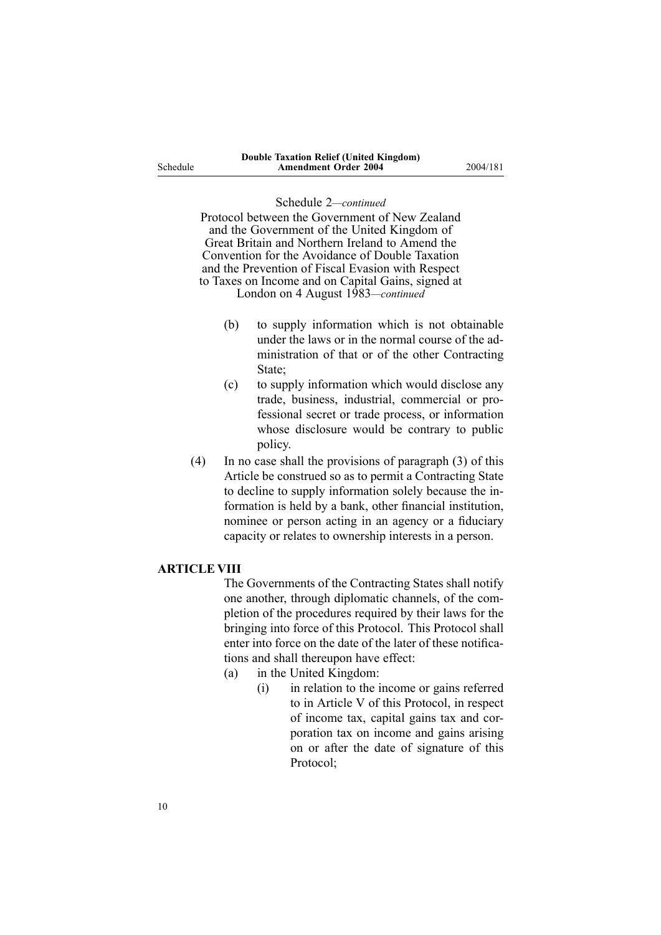Protocol between the Government of New Zealand and the Government of the United Kingdom of Great Britain and Northern Ireland to Amend the Convention for the Avoidance of Double Taxation and the Prevention of Fiscal Evasion with Respect to Taxes on Income and on Capital Gains, signed at

London on 4 August 1983*—continued*

- (b) to supply information which is not obtainable under the laws or in the normal course of the administration of that or of the other Contracting State;
- (c) to supply information which would disclose any trade, business, industrial, commercial or professional secret or trade process, or information whose disclosure would be contrary to public policy.
- (4) In no case shall the provisions of paragraph (3) of this Article be construed so as to permit <sup>a</sup> Contracting State to decline to supply information solely because the information is held by <sup>a</sup> bank, other financial institution, nominee or person acting in an agency or <sup>a</sup> fiduciary capacity or relates to ownership interests in <sup>a</sup> person.

#### **ARTICLE VIII**

The Governments of the Contracting States shall notify one another, through diplomatic channels, of the completion of the procedures required by their laws for the bringing into force of this Protocol. This Protocol shall enter into force on the date of the later of these notifications and shall thereupon have effect:

- (a) in the United Kingdom:
	- (i) in relation to the income or gains referred to in Article V of this Protocol, in respec<sup>t</sup> of income tax, capital gains tax and corporation tax on income and gains arising on or after the date of signature of this Protocol;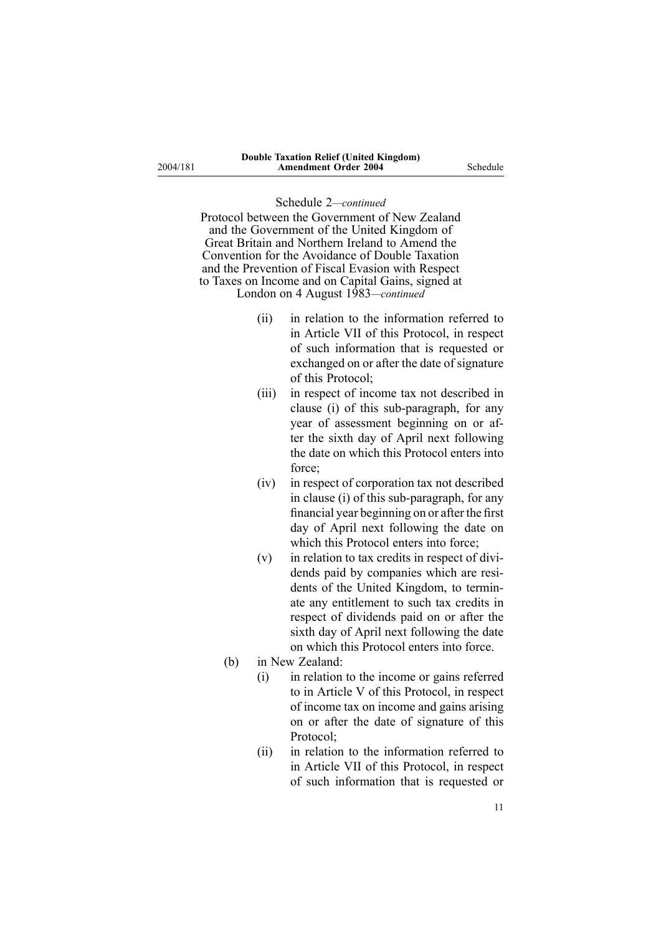Protocol between the Government of New Zealand and the Government of the United Kingdom of Great Britain and Northern Ireland to Amend the Convention for the Avoidance of Double Taxation and the Prevention of Fiscal Evasion with Respect to Taxes on Income and on Capital Gains, signed at London on 4 August 1983*—continued*

- (ii) in relation to the information referred to in Article VII of this Protocol, in respec<sup>t</sup> of such information that is requested or exchanged on or after the date of signature of this Protocol;
- (iii) in respec<sup>t</sup> of income tax not described in clause (i) of this sub-paragraph, for any year of assessment beginning on or after the sixth day of April next following the date on which this Protocol enters into force;
- (iv) in respec<sup>t</sup> of corporation tax not described in clause (i) of this sub-paragraph, for any financial year beginning on or after the first day of April next following the date on which this Protocol enters into force:
- (v) in relation to tax credits in respec<sup>t</sup> of dividends paid by companies which are residents of the United Kingdom, to terminate any entitlement to such tax credits in respec<sup>t</sup> of dividends paid on or after the sixth day of April next following the date on which this Protocol enters into force.
- (b) in New Zealand:
	- (i) in relation to the income or gains referred to in Article V of this Protocol, in respec<sup>t</sup> of income tax on income and gains arising on or after the date of signature of this Protocol<sup>.</sup>
	- (ii) in relation to the information referred to in Article VII of this Protocol, in respec<sup>t</sup> of such information that is requested or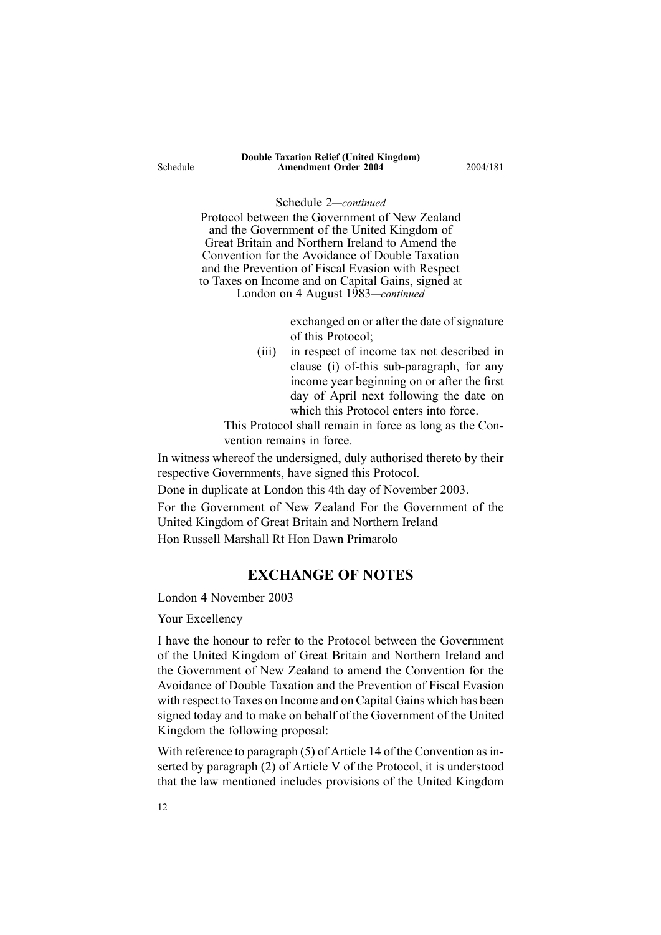Schedule

#### Schedule 2*—continued*

Protocol between the Government of New Zealand and the Government of the United Kingdom of Great Britain and Northern Ireland to Amend the Convention for the Avoidance of Double Taxation and the Prevention of Fiscal Evasion with Respect to Taxes on Income and on Capital Gains, signed at London on 4 August 1983*—continued*

> exchanged on or after the date of signature of this Protocol;

(iii) in respec<sup>t</sup> of income tax not described in clause (i) of-this sub-paragraph, for any income year beginning on or after the first day of April next following the date on which this Protocol enters into force.

This Protocol shall remain in force as long as the Convention remains in force.

In witness whereof the undersigned, duly authorised thereto by their respective Governments, have signed this Protocol.

Done in duplicate at London this 4th day of November 2003.

For the Government of New Zealand For the Government of the United Kingdom of Great Britain and Northern Ireland

Hon Russell Marshall Rt Hon Dawn Primarolo

## **EXCHANGE OF NOTES**

London 4 November 2003

Your Excellency

I have the honour to refer to the Protocol between the Government of the United Kingdom of Great Britain and Northern Ireland and the Government of New Zealand to amend the Convention for the Avoidance of Double Taxation and the Prevention of Fiscal Evasion with respec<sup>t</sup> to Taxes on Income and on Capital Gains which has been signed today and to make on behalf of the Government of the United Kingdom the following proposal:

With reference to paragraph  $(5)$  of Article 14 of the Convention as inserted by paragraph (2) of Article V of the Protocol, it is understood that the law mentioned includes provisions of the United Kingdom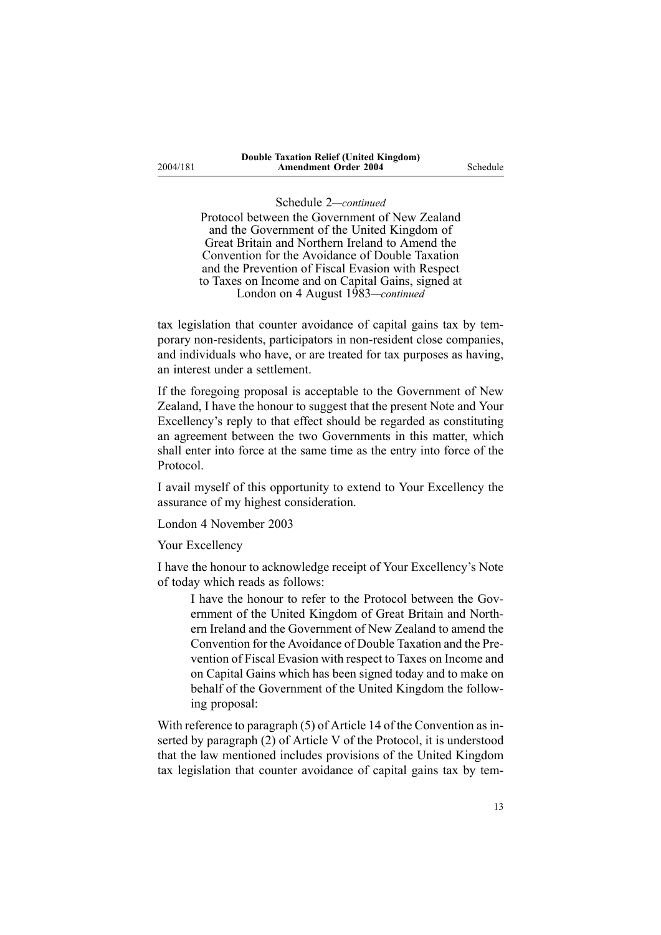2004/181

#### Schedule 2*—continued*

Protocol between the Government of New Zealand and the Government of the United Kingdom of Great Britain and Northern Ireland to Amend the Convention for the Avoidance of Double Taxation and the Prevention of Fiscal Evasion with Respect to Taxes on Income and on Capital Gains, signed at London on 4 August 1983*—continued*

tax legislation that counter avoidance of capital gains tax by temporary non-residents, participators in non-resident close companies, and individuals who have, or are treated for tax purposes as having, an interest under <sup>a</sup> settlement.

If the foregoing proposal is acceptable to the Government of New Zealand, I have the honour to sugges<sup>t</sup> that the presen<sup>t</sup> Note and Your Excellency's reply to that effect should be regarded as constituting an agreemen<sup>t</sup> between the two Governments in this matter, which shall enter into force at the same time as the entry into force of the Protocol.

I avail myself of this opportunity to extend to Your Excellency the assurance of my highest consideration.

London 4 November 2003

Your Excellency

I have the honour to acknowledge receipt of Your Excellency's Note of today which reads as follows:

I have the honour to refer to the Protocol between the Government of the United Kingdom of Great Britain and Northern Ireland and the Government of New Zealand to amend the Convention for the Avoidance of Double Taxation and the Prevention of Fiscal Evasion with respec<sup>t</sup> to Taxes on Income and on Capital Gains which has been signed today and to make on behalf of the Government of the United Kingdom the following proposal:

With reference to paragraph (5) of Article 14 of the Convention as inserted by paragraph (2) of Article V of the Protocol, it is understood that the law mentioned includes provisions of the United Kingdom tax legislation that counter avoidance of capital gains tax by tem-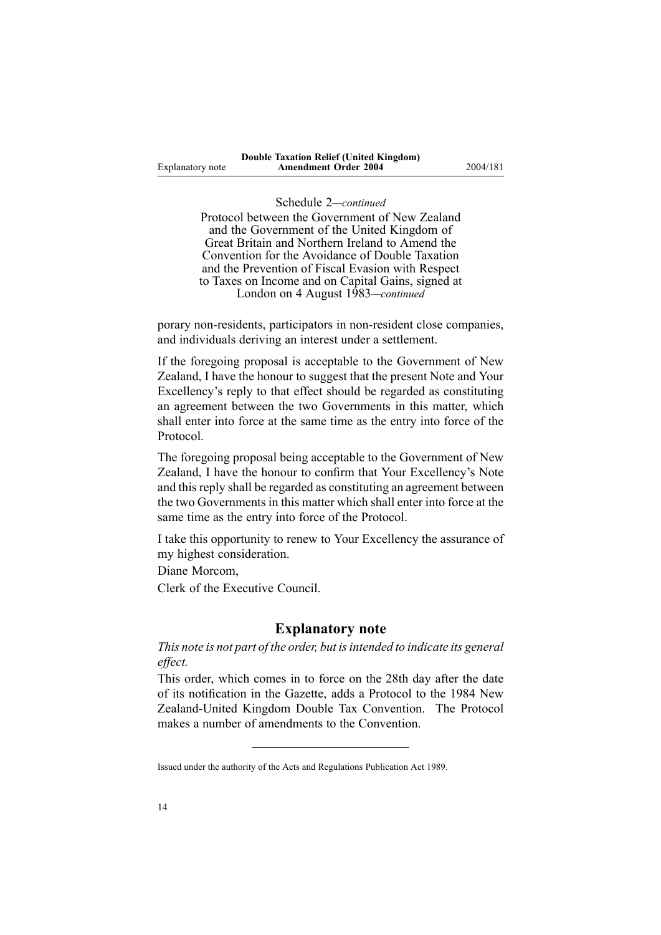Protocol between the Government of New Zealand and the Government of the United Kingdom of Great Britain and Northern Ireland to Amend the Convention for the Avoidance of Double Taxation and the Prevention of Fiscal Evasion with Respect to Taxes on Income and on Capital Gains, signed at London on 4 August 1983*—continued*

porary non-residents, participators in non-resident close companies, and individuals deriving an interest under <sup>a</sup> settlement.

If the foregoing proposal is acceptable to the Government of New Zealand, I have the honour to sugges<sup>t</sup> that the presen<sup>t</sup> Note and Your Excellency's reply to that effect should be regarded as constituting an agreemen<sup>t</sup> between the two Governments in this matter, which shall enter into force at the same time as the entry into force of the Protocol.

The foregoing proposal being acceptable to the Government of New Zealand, I have the honour to confirm that Your Excellency's Note and this reply shall be regarded as constituting an agreement between the two Governments in this matter which shall enter into force at the same time as the entry into force of the Protocol.

I take this opportunity to renew to Your Excellency the assurance of my highest consideration.

Diane Morcom,

Clerk of the Executive Council.

#### **Explanatory note**

*This note is not par<sup>t</sup> of the order, but isintended to indicate its general effect.*

This order, which comes in to force on the 28th day after the date of its notification in the Gazette, adds <sup>a</sup> Protocol to the 1984 New Zealand-United Kingdom Double Tax Convention. The Protocol makes <sup>a</sup> number of amendments to the Convention.

Issued under the authority of the Acts and [Regulations](http://www.legislation.govt.nz/pdfLink.aspx?id=DLM195097) Publication Act 1989.